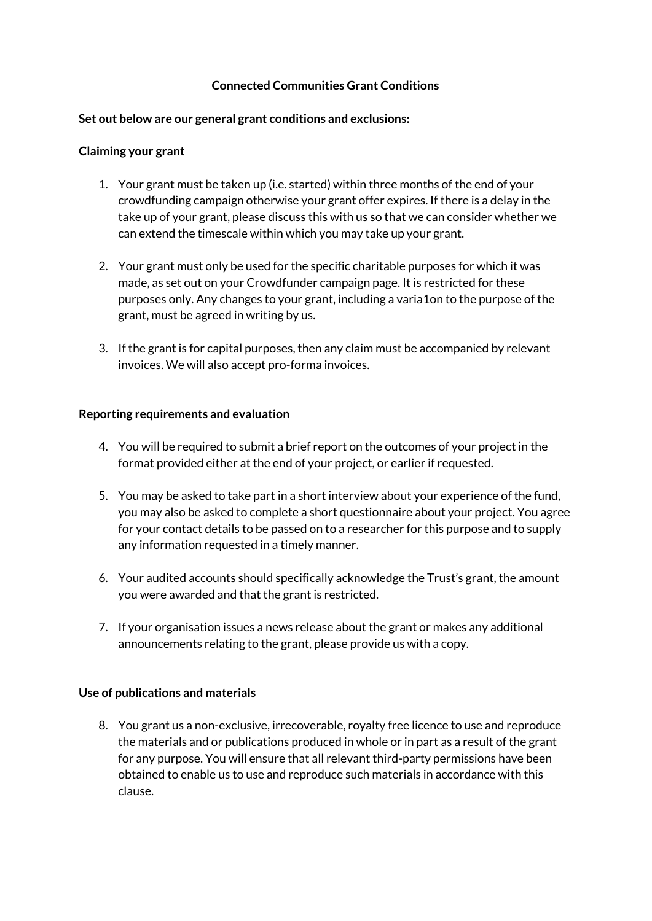### **Connected Communities Grant Conditions**

#### **Set out below are our general grant conditions and exclusions:**

#### **Claiming your grant**

- 1. Your grant must be taken up (i.e. started) within three months of the end of your crowdfunding campaign otherwise your grant offer expires. If there is a delay in the take up of your grant, please discuss this with us so that we can consider whether we can extend the timescale within which you may take up your grant.
- 2. Your grant must only be used for the specific charitable purposes for which it was made, as set out on your Crowdfunder campaign page. It is restricted for these purposes only. Any changes to your grant, including a varia1on to the purpose of the grant, must be agreed in writing by us.
- 3. If the grant is for capital purposes, then any claim must be accompanied by relevant invoices. We will also accept pro-forma invoices.

#### **Reporting requirements and evaluation**

- 4. You will be required to submit a brief report on the outcomes of your project in the format provided either at the end of your project, or earlier if requested.
- 5. You may be asked to take part in a short interview about your experience of the fund, you may also be asked to complete a short questionnaire about your project. You agree for your contact details to be passed on to a researcher for this purpose and to supply any information requested in a timely manner.
- 6. Your audited accounts should specifically acknowledge the Trust's grant, the amount you were awarded and that the grant is restricted.
- 7. If your organisation issues a news release about the grant or makes any additional announcements relating to the grant, please provide us with a copy.

#### **Use of publications and materials**

8. You grant us a non-exclusive, irrecoverable, royalty free licence to use and reproduce the materials and or publications produced in whole or in part as a result of the grant for any purpose. You will ensure that all relevant third-party permissions have been obtained to enable us to use and reproduce such materials in accordance with this clause.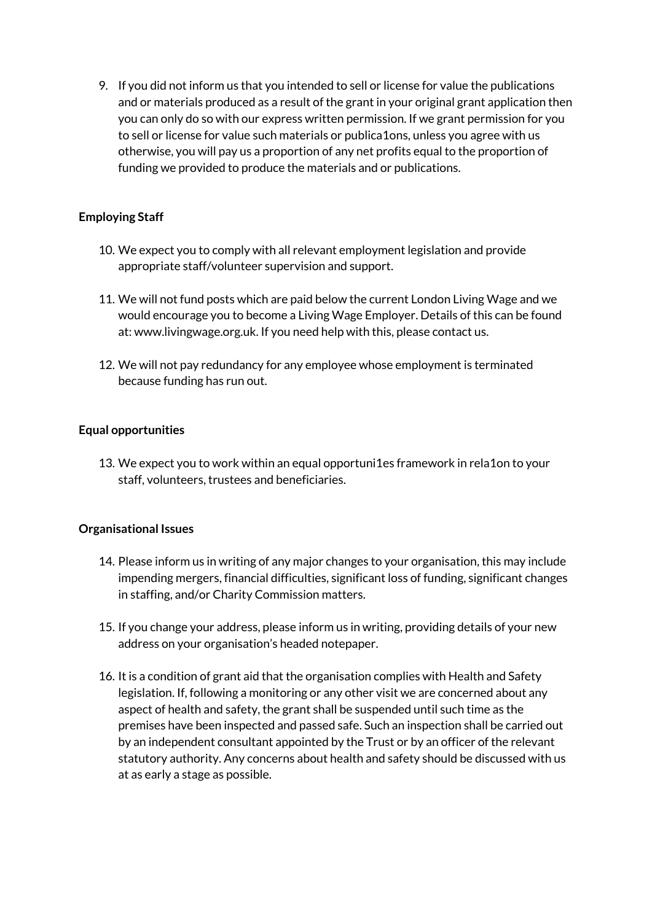9. If you did not inform us that you intended to sell or license for value the publications and or materials produced as a result of the grant in your original grant application then you can only do so with our express written permission. If we grant permission for you to sell or license for value such materials or publica1ons, unless you agree with us otherwise, you will pay us a proportion of any net profits equal to the proportion of funding we provided to produce the materials and or publications.

# **Employing Staff**

- 10. We expect you to comply with all relevant employment legislation and provide appropriate staff/volunteer supervision and support.
- 11. We will not fund posts which are paid below the current London Living Wage and we would encourage you to become a Living Wage Employer. Details of this can be found at: www.livingwage.org.uk. If you need help with this, please contact us.
- 12. We will not pay redundancy for any employee whose employment is terminated because funding has run out.

## **Equal opportunities**

13. We expect you to work within an equal opportuni1es framework in rela1on to your staff, volunteers, trustees and beneficiaries.

## **Organisational Issues**

- 14. Please inform us in writing of any major changes to your organisation, this may include impending mergers, financial difficulties, significant loss of funding, significant changes in staffing, and/or Charity Commission matters.
- 15. If you change your address, please inform us in writing, providing details of your new address on your organisation's headed notepaper.
- 16. It is a condition of grant aid that the organisation complies with Health and Safety legislation. If, following a monitoring or any other visit we are concerned about any aspect of health and safety, the grant shall be suspended until such time as the premises have been inspected and passed safe. Such an inspection shall be carried out by an independent consultant appointed by the Trust or by an officer of the relevant statutory authority. Any concerns about health and safety should be discussed with us at as early a stage as possible.